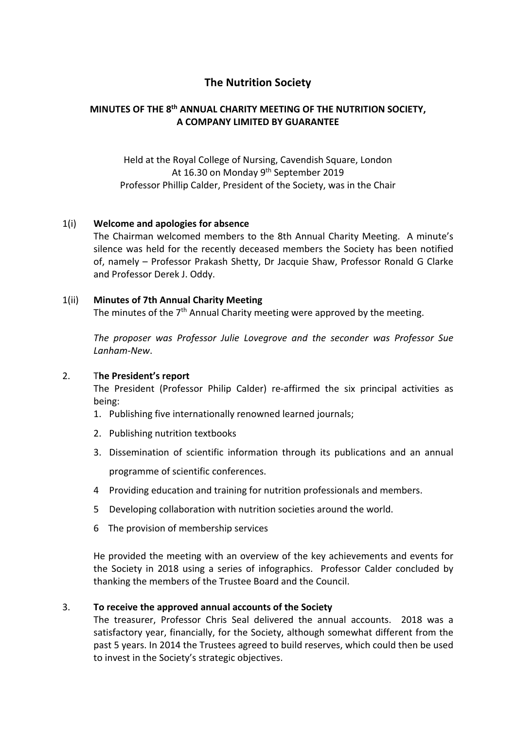# **The Nutrition Society**

## **MINUTES OF THE 8th ANNUAL CHARITY MEETING OF THE NUTRITION SOCIETY, A COMPANY LIMITED BY GUARANTEE**

Held at the Royal College of Nursing, Cavendish Square, London At 16.30 on Monday 9<sup>th</sup> September 2019 Professor Phillip Calder, President of the Society, was in the Chair

### 1(i) **Welcome and apologies for absence**

The Chairman welcomed members to the 8th Annual Charity Meeting. A minute's silence was held for the recently deceased members the Society has been notified of, namely – Professor Prakash Shetty, Dr Jacquie Shaw, Professor Ronald G Clarke and Professor Derek J. Oddy.

#### 1(ii) **Minutes of 7th Annual Charity Meeting**

The minutes of the  $7<sup>th</sup>$  Annual Charity meeting were approved by the meeting.

*The proposer was Professor Julie Lovegrove and the seconder was Professor Sue Lanham-New*.

#### 2. T**he President's report**

The President (Professor Philip Calder) re-affirmed the six principal activities as being:

- 1. Publishing five internationally renowned learned journals;
- 2. Publishing nutrition textbooks
- 3. Dissemination of scientific information through its publications and an annual programme of scientific conferences.
- 4 Providing education and training for nutrition professionals and members.
- 5 Developing collaboration with nutrition societies around the world.
- 6 The provision of membership services

He provided the meeting with an overview of the key achievements and events for the Society in 2018 using a series of infographics. Professor Calder concluded by thanking the members of the Trustee Board and the Council.

#### 3. **To receive the approved annual accounts of the Society**

The treasurer, Professor Chris Seal delivered the annual accounts. 2018 was a satisfactory year, financially, for the Society, although somewhat different from the past 5 years. In 2014 the Trustees agreed to build reserves, which could then be used to invest in the Society's strategic objectives.